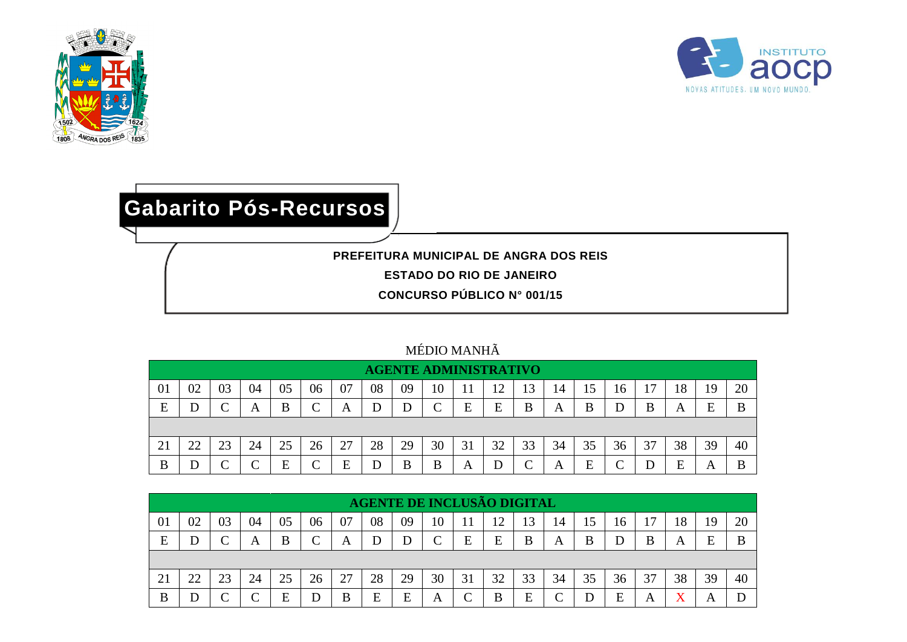



## **Gabarito Pós-Recursos**

**PREFEITURA MUNICIPAL DE ANGRA DOS REIS**

**ESTADO DO RIO DE JANEIRO**

**CONCURSO PÚBLICO N° 001/15**

## MÉDIO MANHÃ

|    | <b>AGENTE ADMINISTRATIVO</b> |    |    |    |    |    |    |    |    |    |    |    |    |    |    |                |    |    |    |
|----|------------------------------|----|----|----|----|----|----|----|----|----|----|----|----|----|----|----------------|----|----|----|
| 01 | 02                           | 03 | 04 | 05 | 06 | 07 | 08 | 09 | 10 |    |    | 13 | 14 | 15 | 16 | $\overline{ }$ | 18 | ۱Q | 20 |
| E  |                              |    | A  | B  |    | A  | D  |    |    | Е  | E  | B  | A  | B  |    | B              | A  | F  |    |
|    |                              |    |    |    |    |    |    |    |    |    |    |    |    |    |    |                |    |    |    |
| 21 | つつ                           | 23 | 24 | 25 | 26 | 27 | 28 | 29 | 30 | 31 | 32 | 33 | 34 | 35 | 36 | 37             | 38 | 39 | 40 |
| B  |                              |    |    | Е  |    | E  | D  | B  | B  | Α  |    |    | A  | E  |    |                | E  | A  |    |

|    | <b>AGENTE DE INCLUSÃO DIGITAL</b> |    |    |    |          |    |    |    |    |    |    |    |            |    |    |                |    |    |    |
|----|-----------------------------------|----|----|----|----------|----|----|----|----|----|----|----|------------|----|----|----------------|----|----|----|
| 01 | 02                                | 03 | 04 | 05 | 06       | 07 | 08 | 09 | 10 |    | ۱C |    | 14         | 15 | 16 | $\overline{ }$ | 18 | .9 | 20 |
| E  |                                   |    | А  | B  | $\Gamma$ | A  |    |    | ⌒  | E  | E  | B  | A          | B  |    | B              | A  | F  | B  |
|    |                                   |    |    |    |          |    |    |    |    |    |    |    |            |    |    |                |    |    |    |
| 21 | 22                                | 23 | 24 | 25 | 26       | 27 | 28 | 29 | 30 | 31 | 32 | 33 | 34         | 35 | 36 | 37             | 38 | 39 | 40 |
| B  |                                   |    |    | F  | D        | B  | E  | F  | А  |    | B  | E  | $\sqrt{ }$ |    | E  | А              | v  |    |    |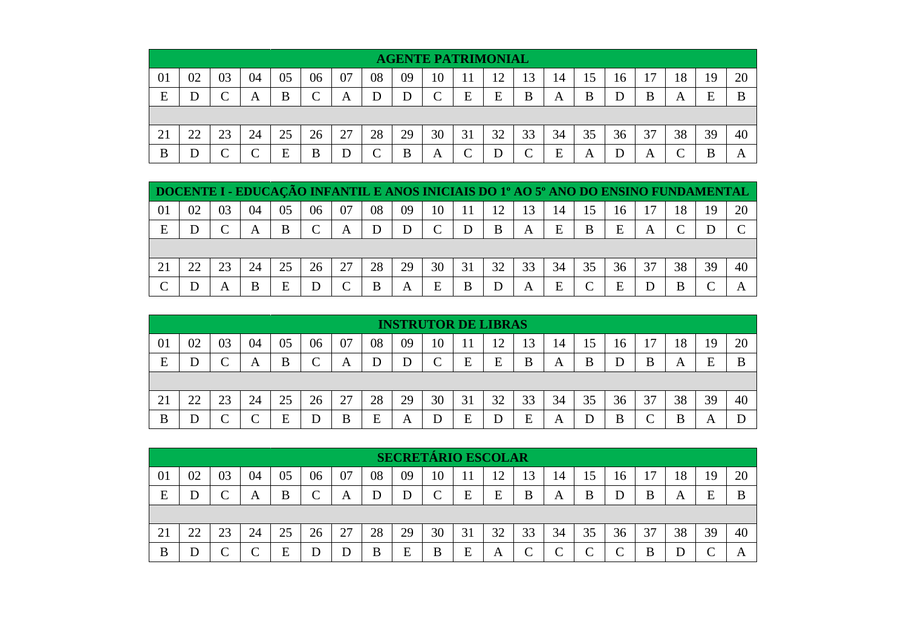|    | <b>AGENTE PATRIMONIAL</b> |    |    |          |    |    |                 |    |    |    |    |    |    |    |    |    |    |    |    |
|----|---------------------------|----|----|----------|----|----|-----------------|----|----|----|----|----|----|----|----|----|----|----|----|
| 01 | 02                        | 03 | 04 | 05       | 06 | 07 | 08              | 09 | 10 |    | ∼  | 13 | 14 | 15 | 16 | 17 | 18 | 19 | 20 |
| E  |                           |    | Α  | B        | ⌒  | A  | D               |    | ⌒  | E  | E  | B  | A  | B  |    | B  | A  | E  |    |
|    |                           |    |    |          |    |    |                 |    |    |    |    |    |    |    |    |    |    |    |    |
| 21 | 22                        | 23 | 24 | 25       | 26 | 27 | 28              | 29 | 30 | 31 | 32 | 33 | 34 | 35 | 36 | 37 | 38 | 39 | 40 |
| B  |                           | ⌒  |    | F<br>نلا | B  | D  | $\sqrt{ }$<br>◡ | B  | A  |    |    |    | E  | A  |    | A  | ⌒  |    | A  |

| DOCENTE I - EDUCAÇÃO INFANTIL E ANOS INICIAIS DO 1º AO 5º ANO DO ENSINO FUNDAMENTAL |    |    |    |    |        |          |    |    |    |    |    |    |    |          |    |    |    |    |    |
|-------------------------------------------------------------------------------------|----|----|----|----|--------|----------|----|----|----|----|----|----|----|----------|----|----|----|----|----|
| $\Omega$                                                                            | 02 | 03 | 04 | 05 | 06     | 07       | 08 | 09 | 10 |    | 12 | 13 | 14 | 15       | 16 | 17 | 18 | 19 | 20 |
| E                                                                                   |    | ⌒  | А  | B  | $\cap$ | A        | D  |    |    |    | B  | A  | E  | B        | E  |    |    |    |    |
|                                                                                     |    |    |    |    |        |          |    |    |    |    |    |    |    |          |    |    |    |    |    |
|                                                                                     | つつ |    | 24 |    | 26     | 27       | 28 | 29 | 30 | 31 | 32 | 33 | 34 | 35       | 36 | 37 | 38 | 39 | 40 |
| ⌒                                                                                   |    | A  | В  | E  | D      | $\Gamma$ | B  | A  | E  | В  |    | A  | E  | $\Gamma$ | E  |    | B  |    |    |

|    | <b>INSTRUTOR DE LIBRAS</b> |          |    |    |            |    |    |    |    |    |           |    |    |    |    |    |    |    |    |
|----|----------------------------|----------|----|----|------------|----|----|----|----|----|-----------|----|----|----|----|----|----|----|----|
| 01 | 02                         | 03       | 04 | 05 | 06         | 07 | 08 | 09 | 10 |    | ി         | 13 | 14 | 15 | 16 | 17 | 18 | 19 | 20 |
| E  |                            |          | A  | B  | $\sqrt{ }$ | A  |    |    | ⌒  | E  | E         | B  | A  | B  | D  | B  | A  | E  |    |
|    |                            |          |    |    |            |    |    |    |    |    |           |    |    |    |    |    |    |    |    |
| 21 | 22                         | ົາ<br>23 | 24 | 25 | 26         | 27 | 28 | 29 | 30 | 31 | 32<br>ے ر | 33 | 34 | 35 | 36 | 37 | 38 | 39 | 40 |
| B  |                            |          |    | F  | D          | B  | E  | A  |    | E  |           | E  | A  |    | B  |    | B  | A  |    |

|    | <b>SECRETÁRIO ESCOLAR</b> |    |    |    |    |    |    |    |        |    |    |    |            |            |    |    |    |    |              |
|----|---------------------------|----|----|----|----|----|----|----|--------|----|----|----|------------|------------|----|----|----|----|--------------|
| 01 | 02                        | 03 | 04 | 05 | 06 | 07 | 08 | 09 | 10     | 11 | ∸  | 13 | 14         | 15         | 16 | 17 | 18 | 19 | 20           |
| E  |                           |    | A  | B  |    | A  | D  | D  | $\sim$ | E  | E  | B  | A          | B          | D  | B  | A  | E  | B            |
|    |                           |    |    |    |    |    |    |    |        |    |    |    |            |            |    |    |    |    |              |
| 21 | າາ                        | 23 | 24 | 25 | 26 | 27 | 28 | 29 | 30     | 31 | 32 | 33 | 34         | 35         | 36 | 37 | 38 | 39 | 40           |
| B  |                           |    |    | Ε  |    | D  | B  | E  | B      | E  | A  |    | $\sqrt{ }$ | $\sqrt{ }$ | ⌒  | B  |    |    | $\mathsf{A}$ |